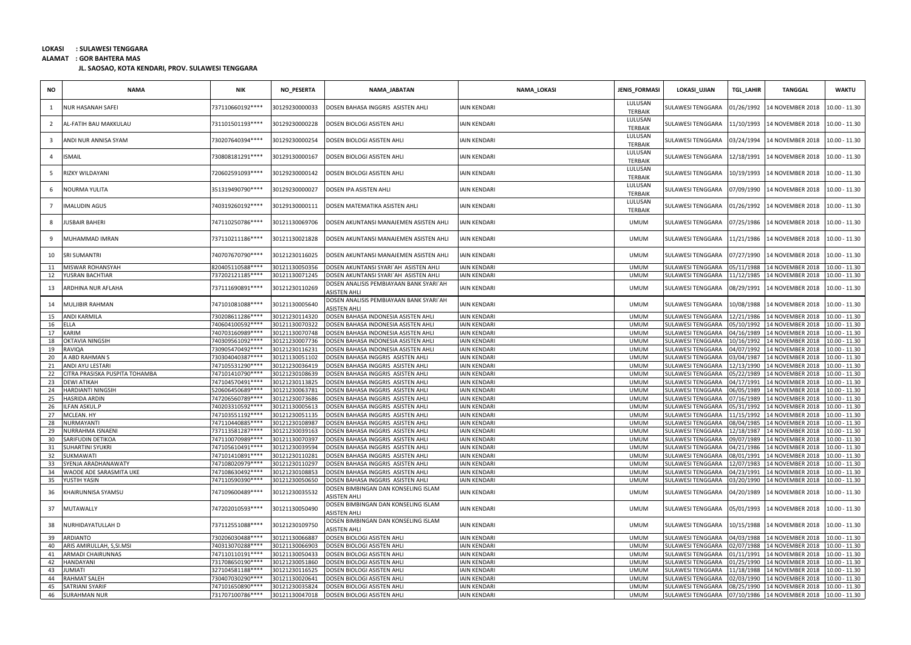**ALAMAT : GOR BAHTERA MAS**

| <b>NO</b>      | <b>NAMA</b>                    | <b>NIK</b>        | NO_PESERTA     | NAMA_JABATAN                                                   | NAMA_LOKASI         | <b>JENIS_FORMASI</b>      | LOKASI_UJIAN      | <b>TGL LAHIR</b> | <b>TANGGAL</b>   | <b>WAKTU</b>    |
|----------------|--------------------------------|-------------------|----------------|----------------------------------------------------------------|---------------------|---------------------------|-------------------|------------------|------------------|-----------------|
| -1             | NUR HASANAH SAFEI              | 737110660192 **** | 30129230000033 | DOSEN BAHASA INGGRIS ASISTEN AHLI                              | <b>IAIN KENDARI</b> | LULUSAN<br><b>TERBAIK</b> | SULAWESI TENGGARA | 01/26/1992       | 14 NOVEMBER 2018 | $0.00 - 11.30$  |
| $\overline{2}$ | AL-FATIH BAU MAKKULAU          | 731101501193 **** | 30129230000228 | DOSEN BIOLOGI ASISTEN AHLI                                     | <b>IAIN KENDARI</b> | LULUSAN<br><b>TERBAIK</b> | SULAWESI TENGGARA | 11/10/1993       | 14 NOVEMBER 2018 | $0.00 - 11.30$  |
| - 3            | ANDI NUR ANNISA SYAM           | 730207640394 **** | 30129230000254 | DOSEN BIOLOGI ASISTEN AHLI                                     | <b>IAIN KENDARI</b> | LULUSAN<br><b>TERBAIK</b> | SULAWESI TENGGARA | 03/24/1994       | 14 NOVEMBER 2018 | 10.00 - 11.30   |
| $\overline{4}$ | SMAIL                          | 730808181291 **** | 30129130000167 | DOSEN BIOLOGI ASISTEN AHLI                                     | <b>IAIN KENDARI</b> | LULUSAN<br><b>TERBAIK</b> | SULAWESI TENGGARA | 12/18/1991       | 14 NOVEMBER 2018 | 10.00 - 11.30   |
| -5             | RIZKY WILDAYANI                | 720602591093 **** | 30129230000142 | DOSEN BIOLOGI ASISTEN AHLI                                     | <b>IAIN KENDARI</b> | LULUSAN<br><b>TERBAIK</b> | SULAWESI TENGGARA | 10/19/1993       | 14 NOVEMBER 2018 | 10.00 - 11.30   |
| 6              | <b>JOURMA YULITA</b>           | 351319490790 **** | 30129230000027 | DOSEN IPA ASISTEN AHLI                                         | <b>IAIN KENDARI</b> | LULUSAN<br><b>TERBAIK</b> | SULAWESI TENGGARA | 07/09/1990       | 14 NOVEMBER 2018 | $0.00 - 11.30$  |
|                | <b>MALUDIN AGUS</b>            | 740319260192 **** | 30129130000111 | DOSEN MATEMATIKA ASISTEN AHLI                                  | <b>IAIN KENDARI</b> | LULUSAN<br><b>TERBAIK</b> | SULAWESI TENGGARA | 01/26/1992       | 14 NOVEMBER 2018 | 10.00 - 11.30   |
| 8              | <b>USBAIR BAHERI</b>           | 747110250786****  | 30121130069706 | DOSEN AKUNTANSI MANAJEMEN ASISTEN AHLI                         | <b>IAIN KENDARI</b> | <b>UMUM</b>               | SULAWESI TENGGARA | 07/25/1986       | 14 NOVEMBER 2018 | 10.00 - 11.30   |
| 9              | MUHAMMAD IMRAN                 | 737110211186****  | 30121130021828 | DOSEN AKUNTANSI MANAJEMEN ASISTEN AHLI                         | <b>IAIN KENDARI</b> | <b>UMUM</b>               | SULAWESI TENGGARA | 11/21/1986       | 14 NOVEMBER 2018 | 10.00 - 11.30   |
| 10             | <b>SRI SUMANTRI</b>            | 740707670790 **** | 30121230116025 | DOSEN AKUNTANSI MANAJEMEN ASISTEN AHLI                         | <b>IAIN KENDARI</b> | <b>UMUM</b>               | SULAWESI TENGGARA | 07/27/1990       | 14 NOVEMBER 2018 | $0.00 - 11.30$  |
| 11             | MISWAR ROHANSYAH               | 820405110588****  | 30121130050356 | DOSEN AKUNTANSI SYARI`AH ASISTEN AHLI                          | <b>IAIN KENDARI</b> | <b>UMUM</b>               | SULAWESI TENGGARA | 5/11/1988        | 14 NOVEMBER 2018 | 10.00 - 11.30   |
| 12             | YUSRAN BACHTIAR                | 737202121185****  | 30121130071245 | DOSEN AKUNTANSI SYARI`AH ASISTEN AHLI                          | <b>IAIN KENDARI</b> | <b>UMUM</b>               | SULAWESI TENGGARA | 11/12/1985       | 14 NOVEMBER 2018 | $10.00 - 11.30$ |
| 13             | ARDHINA NUR AFLAHA             | 737111690891 **** | 30121230110269 | DOSEN ANALISIS PEMBIAYAAN BANK SYARI`AH<br><b>ASISTEN AHLI</b> | <b>IAIN KENDARI</b> | <b>UMUM</b>               | SULAWESI TENGGARA | 08/29/1991       | 14 NOVEMBER 2018 | 10.00 - 11.30   |
| 14             | MULJIBIR RAHMAN                | 747101081088 **** | 30121130005640 | DOSEN ANALISIS PEMBIAYAAN BANK SYARI`AH<br><b>ASISTEN AHLI</b> | <b>IAIN KENDARI</b> | <b>UMUM</b>               | SULAWESI TENGGARA | 10/08/1988       | 14 NOVEMBER 2018 | $0.00 - 11.30$  |
| 15             | ANDI KARMILA                   | 730208611286****  | 30121230114320 | DOSEN BAHASA INDONESIA ASISTEN AHLI                            | <b>IAIN KENDARI</b> | <b>UMUM</b>               | SULAWESI TENGGARA | 12/21/1986       | 14 NOVEMBER 2018 | 10.00 - 11.30   |
| 16             | ELLA                           | 740604100592 **** | 30121130070322 | DOSEN BAHASA INDONESIA ASISTEN AHLI                            | <b>IAIN KENDARI</b> | <b>UMUM</b>               | SULAWESI TENGGARA | 05/10/1992       | 14 NOVEMBER 2018 | $10.00 - 11.30$ |
| 17             | KARIM                          | 740703160989 **** | 30121130070748 | DOSEN BAHASA INDONESIA ASISTEN AHLI                            | <b>IAIN KENDARI</b> | <b>UMUM</b>               | SULAWESI TENGGARA | 04/16/1989       | 14 NOVEMBER 2018 | 10.00 - 11.30   |
| 18             | OKTAVIA NINGSIH                | 740309561092 **** | 30121230007736 | DOSEN BAHASA INDONESIA ASISTEN AHLI                            | <b>IAIN KENDARI</b> | <b>UMUM</b>               | SULAWESI TENGGARA | 10/16/1992       | 14 NOVEMBER 2018 | $10.00 - 11.30$ |
| 19             | RAVIQA                         | 730905470492 **** | 30121230116231 | DOSEN BAHASA INDONESIA ASISTEN AHLI                            | <b>IAIN KENDARI</b> | <b>UMUM</b>               | SULAWESI TENGGARA | 04/07/1992       | 14 NOVEMBER 2018 | 10.00 - 11.30   |
| 20             | A ABD RAHMAN S                 | 730304040387****  | 30121130051102 | DOSEN BAHASA INGGRIS ASISTEN AHLI                              | <b>IAIN KENDARI</b> | <b>UMUM</b>               | SULAWESI TENGGARA | 3/04/1987        | 14 NOVEMBER 2018 | 10.00 - 11.30   |
| 21             | ANDI AYU LESTARI               | 747105531290 **** | 30121230036419 | DOSEN BAHASA INGGRIS ASISTEN AHLI                              | <b>IAIN KENDARI</b> | <b>UMUM</b>               | SULAWESI TENGGARA | 12/13/1990       | 14 NOVEMBER 2018 | 10.00 - 11.30   |
| 22             | CITRA PRASISKA PUSPITA TOHAMBA | 747101410790 **** | 30121230108639 | DOSEN BAHASA INGGRIS ASISTEN AHLI                              | <b>IAIN KENDARI</b> | <b>UMUM</b>               | SULAWESI TENGGARA | 05/22/1989       | 14 NOVEMBER 2018 | 10.00 - 11.30   |
| 23             | DEWI ATIKAH                    | 747104570491 **** | 30121230113825 | DOSEN BAHASA INGGRIS ASISTEN AHLI                              | <b>IAIN KENDARI</b> | <b>UMUM</b>               | SULAWESI TENGGARA | 04/17/1991       | 14 NOVEMBER 2018 | 10.00 - 11.30   |
| 24             | HARDIANTI NINGSIH              | 520606450689 **** | 30121230063781 | DOSEN BAHASA INGGRIS ASISTEN AHLI                              | <b>IAIN KENDARI</b> | <b>UMUM</b>               | SULAWESI TENGGARA | 06/05/1989       | 14 NOVEMBER 2018 | 10.00 - 11.30   |
| 25             | HASRIDA ARDIN                  | 747206560789 **** | 30121230073686 | DOSEN BAHASA INGGRIS ASISTEN AHLI                              | <b>IAIN KENDARI</b> | <b>UMUM</b>               | SULAWESI TENGGARA | )7/16/1989       | 14 NOVEMBER 2018 | 10.00 - 11.30   |
| 26             | LFAN ASKUL.P                   | 740203310592 **** | 30121130005613 | DOSEN BAHASA INGGRIS ASISTEN AHLI                              | <b>IAIN KENDARI</b> | <b>UMUM</b>               | SULAWESI TENGGARA | 5/31/1992        | 14 NOVEMBER 2018 | 10.00 - 11.30   |
| 27             | MCLEAN. HY                     | 747103551192 **** | 30121230051135 | DOSEN BAHASA INGGRIS ASISTEN AHLI                              | <b>IAIN KENDARI</b> | <b>UMUM</b>               | SULAWESI TENGGARA | 11/15/1992       | 14 NOVEMBER 2018 | 10.00 - 11.30   |
| 28             | NURMAYANTI                     | 747110440885 **** | 30121230108987 | DOSEN BAHASA INGGRIS ASISTEN AHLI                              | <b>IAIN KENDARI</b> | <b>UMUM</b>               | SULAWESI TENGGARA | 08/04/1985       | 14 NOVEMBER 2018 | 10.00 - 11.30   |
| 29             | NURRAHMA ISNAENI               | 737113581287****  | 30121230039163 | DOSEN BAHASA INGGRIS ASISTEN AHLI                              | <b>IAIN KENDARI</b> | <b>UMUM</b>               | SULAWESI TENGGARA | 12/18/1987       | 14 NOVEMBER 2018 | 10.00 - 11.30   |
| 30             | SARIFUDIN DETIKOA              | 747110070989 **** | 30121130070397 | DOSEN BAHASA INGGRIS ASISTEN AHLI                              | <b>IAIN KENDARI</b> | <b>UMUM</b>               | SULAWESI TENGGARA | 09/07/1989       | 14 NOVEMBER 2018 | $10.00 - 11.30$ |
| 31             | UHARTINI SYUKRI                | 747105610491 **** | 30121230039594 | DOSEN BAHASA INGGRIS ASISTEN AHLI                              | <b>IAIN KENDARI</b> | <b>UMUM</b>               | SULAWESI TENGGARA | 4/21/1986        | 14 NOVEMBER 2018 | 10.00 - 11.30   |
| 32             | SUKMAWATI                      | 747101410891 **** | 30121230110281 | DOSEN BAHASA INGGRIS ASISTEN AHLI                              | <b>IAIN KENDARI</b> | <b>UMUM</b>               | SULAWESI TENGGARA | 08/01/1991       | 14 NOVEMBER 2018 | 10.00 - 11.30   |
| 33             | SYENJA ARADHANAWATY            | 747108020979 **** | 30121230110297 | DOSEN BAHASA INGGRIS ASISTEN AHLI                              | <b>IAIN KENDARI</b> | <b>UMUM</b>               | SULAWESI TENGGARA | 12/07/1983       | 14 NOVEMBER 2018 | 10.00 - 11.30   |
| 34             | WAODE ADE SARASMITA UKE        | 747108630492 **** | 30121230108853 | DOSEN BAHASA INGGRIS ASISTEN AHLI                              | <b>IAIN KENDARI</b> | <b>UMUM</b>               | SULAWESI TENGGARA | 04/23/1991       | 14 NOVEMBER 2018 | 10.00 - 11.30   |
| 35             | YUSTIH YASIN                   | 747110590390 **** | 30121230050650 | DOSEN BAHASA INGGRIS ASISTEN AHLI                              | <b>IAIN KENDARI</b> | <b>UMUM</b>               | SULAWESI TENGGARA | 03/20/1990       | 14 NOVEMBER 2018 | $10.00 - 11.30$ |
| 36             | KHAIRUNNISA SYAMSU             | 747109600489 **** | 30121230035532 | DOSEN BIMBINGAN DAN KONSELING ISLAM<br>ASISTEN AHLI            | <b>IAIN KENDARI</b> | <b>UMUM</b>               | SULAWESI TENGGARA | 04/20/1989       | 14 NOVEMBER 2018 | $0.00 - 11.30$  |
| 37             | MUTAWALLY                      | 747202010593 **** | 30121130050490 | DOSEN BIMBINGAN DAN KONSELING ISLAM<br><b>ASISTEN AHLI</b>     | <b>IAIN KENDARI</b> | <b>UMUM</b>               | SULAWESI TENGGARA | 05/01/1993       | 14 NOVEMBER 2018 | 10.00 - 11.30   |
| 38             | NURHIDAYATULLAH D              | 737112551088****  | 30121230109750 | DOSEN BIMBINGAN DAN KONSELING ISLAM<br><b>ASISTEN AHLI</b>     | <b>IAIN KENDARI</b> | <b>UMUM</b>               | SULAWESI TENGGARA | 10/15/1988       | 14 NOVEMBER 2018 | 10.00 - 11.30   |
| 39             | ARDIANTO                       | 730206030488 **** | 30121130066887 | DOSEN BIOLOGI ASISTEN AHLI                                     | <b>IAIN KENDARI</b> | <b>UMUM</b>               | SULAWESI TENGGARA | 04/03/1988       | 14 NOVEMBER 2018 | 10.00 - 11.30   |
| 40             | ARIS AMIRULLAH, S, SI.MSI      | 740313070288 **** | 30121130066903 | DOSEN BIOLOGI ASISTEN AHLI                                     | <b>IAIN KENDARI</b> | <b>UMUM</b>               | SULAWESI TENGGARA | 02/07/1988       | 14 NOVEMBER 2018 | 10.00 - 11.30   |
| 41             | ARMADI CHAIRUNNAS              | 747110110191 **** | 30121130050433 | DOSEN BIOLOGI ASISTEN AHLI                                     | <b>IAIN KENDARI</b> | <b>UMUM</b>               | SULAWESI TENGGARA | 01/11/1991       | 14 NOVEMBER 2018 | 10.00 - 11.30   |
| 42             | <b>HANDAYANI</b>               | 731708650190 **** | 30121230051860 | DOSEN BIOLOGI ASISTEN AHLI                                     | <b>IAIN KENDARI</b> | <b>UMUM</b>               | SULAWESI TENGGARA | 1/25/1990        | 14 NOVEMBER 2018 | 10.00 - 11.30   |
| 43             | <b>UMIATI</b>                  | 327104581188****  | 30121230116525 | DOSEN BIOLOGI ASISTEN AHLI                                     | <b>IAIN KENDARI</b> | <b>UMUM</b>               | SULAWESI TENGGARA | 1/18/1988        | 14 NOVEMBER 2018 | $10.00 - 11.30$ |
| 44             | RAHMAT SALEH                   | 730407030290 **** | 30121130020641 | DOSEN BIOLOGI ASISTEN AHLI                                     | <b>IAIN KENDARI</b> | <b>UMUM</b>               | SULAWESI TENGGARA | 2/03/1990        | 14 NOVEMBER 2018 | 10.00 - 11.30   |
| 45             | SATRIANI SYARIF                | 747101650890 **** | 30121230035824 | DOSEN BIOLOGI ASISTEN AHLI                                     | <b>IAIN KENDARI</b> | <b>UMUM</b>               | SULAWESI TENGGARA | 08/25/1990       | 14 NOVEMBER 2018 | 10.00 - 11.30   |
| 46             | <b>SURAHMAN NUR</b>            | 731707100786****  | 30121130047018 | DOSEN BIOLOGI ASISTEN AHLI                                     | <b>IAIN KENDARI</b> | <b>UMUM</b>               | SULAWESI TENGGARA | 07/10/1986       | 14 NOVEMBER 2018 | 10.00 - 11.30   |
|                |                                |                   |                |                                                                |                     |                           |                   |                  |                  |                 |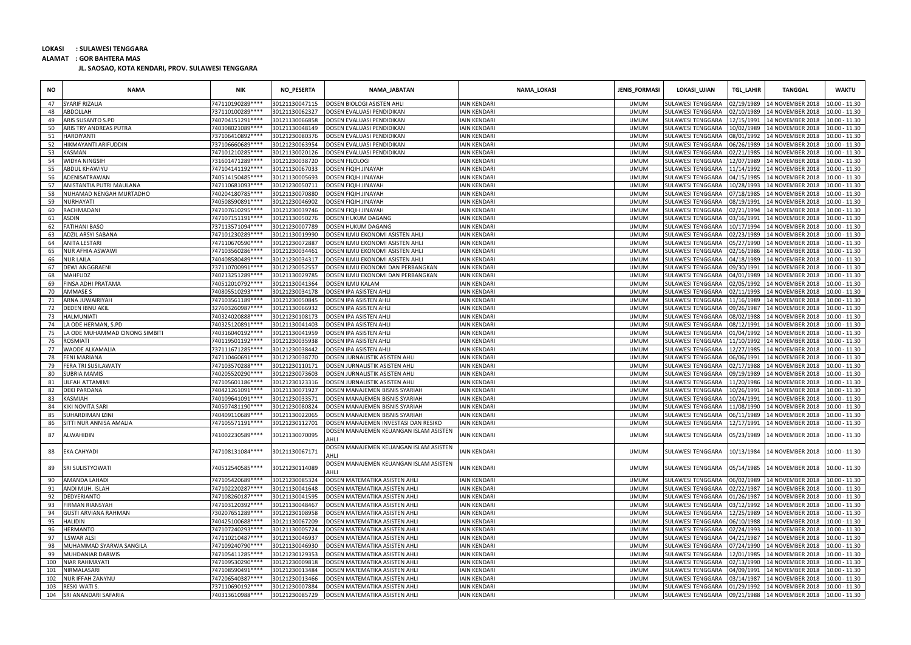**ALAMAT : GOR BAHTERA MAS**

| <b>NO</b> | <b>NAMA</b>                    | <b>NIK</b>       | NO_PESERTA     | NAMA_JABATAN                                   | NAMA_LOKASI         | <b>JENIS_FORMASI</b> | LOKASI_UJIAN             | <b>TGL_LAHIR</b> | <b>TANGGAL</b>              | <b>WAKTU</b>    |
|-----------|--------------------------------|------------------|----------------|------------------------------------------------|---------------------|----------------------|--------------------------|------------------|-----------------------------|-----------------|
| 47        | YARIF RIZALIA                  | "47110190289**** | 0121130047115  | DOSEN BIOLOGI ASISTEN AHLI                     | <b>AIN KENDARI</b>  | <b>UMUM</b>          | ULAWESI TENGGARA         | 2/19/1989        | 14 NOVEMBER 2018            | 10.00 - 11.30   |
| 48        | ABDOLLAH                       | 737110100289**** | 30121130062327 | DOSEN EVALUASI PENDIDIKAN                      | <b>IAIN KENDARI</b> | <b>UMUM</b>          | <b>SULAWESI TENGGARA</b> | 02/10/1989       | 14 NOVEMBER 2018            | 10.00 - 11.30   |
| 49        | ARIS SUSANTO S.PD              | 40704151291****  | 30121130066858 | DOSEN EVALUASI PENDIDIKAN                      | <b>IAIN KENDARI</b> | <b>UMUM</b>          | <b>JULAWESI TENGGARA</b> | 2/15/1991        | 14 NOVEMBER 2018            | $10.00 - 11.30$ |
| 50        | ARIS TRY ANDREAS PUTRA         | 40308021089****  | 30121130048149 | DOSEN EVALUASI PENDIDIKAN                      | <b>IAIN KENDARI</b> | <b>UMUM</b>          | <b>SULAWESI TENGGARA</b> | 10/02/1989       | 14 NOVEMBER 2018            | $10.00 - 11.30$ |
| 51        | <b>HARDIYANTI</b>              | 737106410892**** | 30121230080376 | DOSEN EVALUASI PENDIDIKAN                      | <b>IAIN KENDARI</b> | <b>UMUM</b>          | <b>SULAWESI TENGGARA</b> | 08/01/1992       | 14 NOVEMBER 2018            | $10.00 - 11.30$ |
| 52        | <b>IIKMAYANTI ARIFUDDIN</b>    | 737106660689**** | 30121230063954 | DOSEN EVALUASI PENDIDIKAN                      | <b>IAIN KENDARI</b> | <b>UMUM</b>          | <b>SULAWESI TENGGARA</b> | 06/26/1989       | 14 NOVEMBER 2018            | $10.00 - 11.30$ |
| 53        | <b>ASMAN</b>                   | 47101210285****  | 30121130020126 | DOSEN EVALUASI PENDIDIKAN                      | <b>AIN KENDARI</b>  | <b>UMUM</b>          | ULAWESI TENGGARA         | 12/21/1985       | 14 NOVEMBER 2018            | $10.00 - 11.30$ |
| 54        | WIDYA NINGSIH                  | 731601471289**** | 30121230038720 | DOSEN FILOLOGI                                 | <b>IAIN KENDARI</b> | <b>UMUM</b>          | <b>JULAWESI TENGGARA</b> | 2/07/1989        | 14 NOVEMBER 2018            | 10.00 - 11.30   |
| 55        | ABDUL KHAWIYU                  | "47104141192**** | 0121130067033  | DOSEN FIQIH JINAYAH                            | AIN KENDARI         | <b>UMUM</b>          | <b>SULAWESI TENGGARA</b> | 1/14/1992        | 14 NOVEMBER 2018            | 10.00 - 11.30   |
| 56        | ADENISATRAWAN                  | 40514150485****  | 30121130005693 | DOSEN FIQIH JINAYAH                            | <b>IAIN KENDARI</b> | <b>UMUM</b>          | <b>JULAWESI TENGGARA</b> | 04/15/1985       | 14 NOVEMBER 2018            | $10.00 - 11.30$ |
| 57        | ANISTANTIA PUTRI MAULANA       | 747110681093**** | 30121230050711 | DOSEN FIQIH JINAYAH                            | <b>IAIN KENDARI</b> | <b>UMUM</b>          | <b>SULAWESI TENGGARA</b> | 0/28/1993        | 14 NOVEMBER 2018            | $10.00 - 11.30$ |
| 58        | <b>IUHAMAD NENGAH MURTADHO</b> | 40204180785****  | 30121130070880 | DOSEN FIQIH JINAYAH                            | <b>AIN KENDARI</b>  | <b>UMUM</b>          | <b>SULAWESI TENGGARA</b> | 17/18/1985       | 14 NOVEMBER 2018            | $10.00 - 11.30$ |
| 59        | NURHAYATI                      | 40508590891****  | 30121230046902 | DOSEN FIQIH JINAYAH                            | IAIN KENDAR         | <b>UMUM</b>          | <b>SULAWESI TENGGARA</b> | 18/19/1991       | 14 NOVEMBER 2018            | 10.00 - 11.30   |
| 60        | RACHMADANI                     | 47107610295****  | 30121230039746 | DOSEN FIQIH JINAYAH                            | <b>IAIN KENDARI</b> | <b>UMUM</b>          | <b>JULAWESI TENGGARA</b> | 12/21/1994       | 14 NOVEMBER 2018            | $10.00 - 11.30$ |
| 61        | ASDIN                          | 747107151191**** | 30121130050276 | DOSEN HUKUM DAGANG                             | <b>IAIN KENDARI</b> | <b>UMUM</b>          | <b>SULAWESI TENGGARA</b> | 3/16/1991        | 14 NOVEMBER 2018            | $10.00 - 11.30$ |
| 62        | <b>ATIHANI BASO</b>            | 737113571094**** | 30121230007789 | DOSEN HUKUM DAGANG                             | <b>IAIN KENDAR</b>  | <b>UMUM</b>          | <b>SULAWESI TENGGARA</b> | 0/17/1994        | 14 NOVEMBER 2018            | $10.00 - 11.30$ |
| 63        | ADZIL ARSYI SABANA             | 747101230289**** | 30121130019990 | DOSEN ILMU EKONOMI ASISTEN AHLI                | <b>IAIN KENDARI</b> | <b>UMUM</b>          | <b>SULAWESI TENGGARA</b> | 12/23/1989       | 14 NOVEMBER 2018            | 10.00 - 11.30   |
| 64        | ANITA LESTARI                  | 747110670590**** | 30121230072887 | DOSEN ILMU EKONOMI ASISTEN AHLI                | <b>IAIN KENDARI</b> | <b>UMUM</b>          | <b>SULAWESI TENGGARA</b> | 15/27/1990       | 14 NOVEMBER 2018            | $10.00 - 11.30$ |
| 65        | <b>NUR AFHIA ASWAWI</b>        | 747103560286**** | 30121230034461 | DOSEN ILMU EKONOMI ASISTEN AHLI                | <b>IAIN KENDARI</b> | <b>UMUM</b>          | <b>SULAWESI TENGGARA</b> | 12/16/1986       | 14 NOVEMBER 2018            | 10.00 - 11.30   |
| 66        | <b>VUR LAILA</b>               | '40408580489**** | 30121230034317 | DOSEN ILMU EKONOMI ASISTEN AHLI                | <b>AIN KENDARI</b>  | <b>UMUM</b>          | <b>JULAWESI TENGGARA</b> | 4/18/1989        | 14 NOVEMBER 2018            | 10.00 - 11.30   |
| 67        | <b>DEWI ANGGRAENI</b>          | "37110700991**** | 30121230052557 | DOSEN ILMU EKONOMI DAN PERBANGKAN              | <b>IAIN KENDARI</b> | <b>UMUM</b>          | <b>SULAWESI TENGGARA</b> | 09/30/1991       | 14 NOVEMBER 2018            | $10.00 - 11.30$ |
| 68        | MAHFUDZ                        | 40213251289****  | 30121130029785 | DOSEN ILMU EKONOMI DAN PERBANGKAN              | <b>IAIN KENDARI</b> | <b>UMUM</b>          | <b>SULAWESI TENGGARA</b> | 14/01/1989       | 14 NOVEMBER 2018            | 10.00 - 11.30   |
| 69        | <b>INSA ADHI PRATAMA</b>       | 40512010792****  | 30121130041364 | DOSEN ILMU KALAM                               | <b>AIN KENDARI</b>  | <b>UMUM</b>          | <b>SULAWESI TENGGARA</b> | 12/05/1992       | 14 NOVEMBER 2018            | 10.00 - 11.30   |
| 70        | AMMASE S                       | 40805510293****  | 30121230034178 | DOSEN IPA ASISTEN AHLI                         | <b>IAIN KENDARI</b> | <b>UMUM</b>          | <b>JULAWESI TENGGARA</b> | 12/11/1993       | 14 NOVEMBER 2018            | 10.00 - 11.30   |
| 71        | ARNA JUWAIRIYAH                | 747103561189**** | 30121230050845 | DOSEN IPA ASISTEN AHLI                         | <b>IAIN KENDARI</b> | <b>UMUM</b>          | <b>SULAWESI TENGGARA</b> | 1/16/1989        | 14 NOVEMBER 2018            | 10.00 - 11.30   |
| 72        | DEDEN IBNU AKIL                | 827603260987**** | 30121130066932 | DOSEN IPA ASISTEN AHLI                         | <b>IAIN KENDARI</b> | <b>UMUM</b>          | <b>JULAWESI TENGGARA</b> | 9/26/1987        | 14 NOVEMBER 2018            | 10.00 - 11.30   |
| 73        | <b>HALMUNIATI</b>              | 40324020888****  | 30121230108173 | DOSEN IPA ASISTEN AHLI                         | <b>IAIN KENDARI</b> | <b>UMUM</b>          | <b>SULAWESI TENGGARA</b> | 08/02/1988       | 14 NOVEMBER 2018            | 10.00 - 11.30   |
| 74        | A ODE HERMAN, S.PD             | 740325120891**** | 30121130041403 | DOSEN IPA ASISTEN AHLI                         | <b>IAIN KENDARI</b> | <b>UMUM</b>          | <b>SULAWESI TENGGARA</b> | 08/12/1991       | 14 NOVEMBER 2018            | 10.00 - 11.30   |
| 75        | A ODE MUHAMMAD CINONG SIMBITI  | 40316040192****  | 30121130041959 | DOSEN IPA ASISTEN AHLI                         | <b>IAIN KENDARI</b> | <b>UMUM</b>          | <b>JULAWESI TENGGARA</b> | 1/04/1992        | 14 NOVEMBER 2018            | 10.00 - 11.30   |
| 76        | ROSMIATI                       | 40119501192****  | 30121230035938 | DOSEN IPA ASISTEN AHLI                         | <b>IAIN KENDARI</b> | <b>UMUM</b>          | <b>JULAWESI TENGGARA</b> | 1/10/1992        | 14 NOVEMBER 2018            | 10.00 - 11.30   |
| 77        | <b><i>NAODE ALKAMALIA</i></b>  | 737111671285**** | 0121230038442  | DOSEN IPA ASISTEN AHLI                         | <b>AIN KENDARI</b>  | <b>UMUM</b>          | <b>SULAWESI TENGGARA</b> | 2/27/1985        | 14 NOVEMBER 2018            | $10.00 - 11.30$ |
| 78        | FENI MARIANA                   | 747110460691**** | 30121230038770 | DOSEN JURNALISTIK ASISTEN AHLI                 | <b>IAIN KENDARI</b> | <b>UMUM</b>          | <b>SULAWESI TENGGARA</b> | 06/06/1991       | 14 NOVEMBER 2018            | $10.00 - 11.30$ |
| 79        | FERA TRI SUSILAWATY            | 747103570288**** | 30121230110171 | DOSEN JURNALISTIK ASISTEN AHLI                 | <b>IAIN KENDARI</b> | <b>UMUM</b>          | <b>SULAWESI TENGGARA</b> | 12/17/1988       | 14 NOVEMBER 2018            | 10.00 - 11.30   |
| 80        | <b>SUBRIA MAMIS</b>            | 740205520290**** | 30121230073603 | DOSEN JURNALISTIK ASISTEN AHLI                 | <b>AIN KENDARI</b>  | <b>UMUM</b>          | SULAWESI TENGGARA        | 09/19/1989       | 14 NOVEMBER 2018            | $10.00 - 11.30$ |
| 81        | <b>JLFAH ATTAMIM</b>           | 747105601186**** | 30121230123316 | DOSEN JURNALISTIK ASISTEN AHLI                 | <b>IAIN KENDARI</b> | <b>UMUM</b>          | <b>SULAWESI TENGGARA</b> | 1/20/1986        | 14 NOVEMBER 2018            | 10.00 - 11.30   |
| 82        | <b>DEKI PARDANA</b>            | 40421261091****  | 30121130071927 | DOSEN MANAJEMEN BISNIS SYARIAH                 | <b>IAIN KENDARI</b> | <b>UMUM</b>          | <b>JULAWESI TENGGARA</b> | 0/26/1991        | 14 NOVEMBER 2018            | 10.00 - 11.30   |
| 83        | <b>ASMIAH</b>                  | 40109641091****  | 30121230033571 | DOSEN MANAJEMEN BISNIS SYARIAH                 | <b>IAIN KENDARI</b> | <b>UMUM</b>          | <b>JULAWESI TENGGARA</b> | 0/24/1991        | 14 NOVEMBER 2018            | 10.00 - 11.30   |
| 84        | (IKI NOVITA SARI               | 40507481190****  | 30121230080824 | DOSEN MANAJEMEN BISNIS SYARIAH                 | <b>IAIN KENDARI</b> | <b>UMUM</b>          | <b>SULAWESI TENGGARA</b> | 1/08/1990        | 14 NOVEMBER 2018            | $10.00 - 11.30$ |
| 85        | UHARDIMAN IZINI                | "40409110689**** | 30121130022065 | DOSEN MANAJEMEN BISNIS SYARIAH                 | <b>AIN KENDARI</b>  | <b>UMUM</b>          | <b>SULAWESI TENGGARA</b> | 06/11/1989       | 14 NOVEMBER 2018            | $10.00 - 11.30$ |
| 86        | SITTI NUR ANNISA AMALIA        | 747105571191**** | 30121230112701 | DOSEN MANAJEMEN INVESTASI DAN RESIKO           | <b>AIN KENDARI</b>  | <b>UMUM</b>          | <b>JULAWESI TENGGARA</b> | 12/17/1991       | 14 NOVEMBER 2018            | $10.00 - 11.30$ |
| 87        | ALWAHIDIN                      | 741002230589**** | 30121130070095 | DOSEN MANAJEMEN KEUANGAN ISLAM ASISTEN         | <b>IAIN KENDARI</b> | <b>UMUM</b>          | <b>SULAWESI TENGGARA</b> | 15/23/1989       | 14 NOVEMBER 2018            | $10.00 - 11.30$ |
| 88        | EKA CAHYADI                    | 747108131084**** | 30121130067171 | DOSEN MANAJEMEN KEUANGAN ISLAM ASISTEN<br>AHLI | <b>AIN KENDARI</b>  | <b>UMUM</b>          | SULAWESI TENGGARA        | 10/13/1984       | 14 NOVEMBER 2018            | 10.00 - 11.30   |
| 89        | SRI SULISTYOWATI               | 740512540585**** | 30121230114089 | DOSEN MANAJEMEN KEUANGAN ISLAM ASISTEN<br>AHLI | IAIN KENDARI        | <b>UMUM</b>          | <b>SULAWESI TENGGARA</b> | 05/14/1985       | 14 NOVEMBER 2018            | 10.00 - 11.30   |
| 90        | AMANDA LAHADI                  | 747105420689**** | 30121230085324 | DOSEN MATEMATIKA ASISTEN AHLI                  | <b>IAIN KENDARI</b> | <b>UMUM</b>          | <b>SULAWESI TENGGARA</b> | 06/02/1989       | 14 NOVEMBER 2018            | $10.00 - 11.30$ |
| 91        | ANDI MUH. ISLAH                | 747102220287**** | 0121130041648  | DOSEN MATEMATIKA ASISTEN AHL                   | <b>AIN KENDARI</b>  | <b>UMUM</b>          | <b>JULAWESI TENGGARA</b> | 2/22/1987        | 14 NOVEMBER 2018            | 10.00 - 11.30   |
| 92        | <b>DEDYERIANTO</b>             | 747108260187**** | 30121130041595 | DOSEN MATEMATIKA ASISTEN AHLI                  | <b>IAIN KENDARI</b> | <b>UMUM</b>          | <b>SULAWESI TENGGARA</b> | 1/26/1987        | 14 NOVEMBER 2018            | 10.00 - 11.30   |
| 93        | <b>IRMAN RIANSYAH</b>          | 747103120392**** | 30121130048467 | DOSEN MATEMATIKA ASISTEN AHL                   | <b>IAIN KENDAR</b>  | <b>UMUM</b>          | <b>SULAWESI TENGGARA</b> | 13/12/1992       | 14 NOVEMBER 2018            | 10.00 - 11.30   |
| 94        | <b>GUSTI ARVIANA RAHMAN</b>    | 730207651289**** | 30121230108958 | DOSEN MATEMATIKA ASISTEN AHLI                  | <b>IAIN KENDARI</b> | <b>UMUM</b>          | <b>SULAWESI TENGGARA</b> | 12/25/1989       | 14 NOVEMBER 2018            | $10.00 - 11.30$ |
| 95        | <b>ALIDIN</b>                  | 40425100688****  | 30121130067209 | DOSEN MATEMATIKA ASISTEN AHLI                  | <b>IAIN KENDARI</b> | <b>UMUM</b>          | <b>JULAWESI TENGGARA</b> | 06/10/1988       | 14 NOVEMBER 2018            | 10.00 - 11.30   |
| 96        | <b>IERMANTO</b>                | "47107240293**** | 0121130005724  | DOSEN MATEMATIKA ASISTEN AHLI                  | <b>AIN KENDARI</b>  | <b>UMUM</b>          | <b>SULAWESI TENGGARA</b> | 12/24/1993       | 14 NOVEMBER 2018            | 10.00 - 11.30   |
| 97        | SWAR ALSI                      | 747110210487**** | 30121130046937 | DOSEN MATEMATIKA ASISTEN AHLI                  | <b>IAIN KENDARI</b> | <b>UMUM</b>          | <b>SULAWESI TENGGARA</b> | 14/21/1987       | 14 NOVEMBER 2018            | 10.00 - 11.30   |
| 98        | <b>MUHAMMAD SYARWA SANGILA</b> | 747109240790**** | 30121130046930 | DOSEN MATEMATIKA ASISTEN AHL                   | <b>IAIN KENDARI</b> | <b>UMUM</b>          | <b>SULAWESI TENGGARA</b> | 07/24/1990       | 14 NOVEMBER 2018            | $10.00 - 11.30$ |
| 99        | MUHDANIAR DARWIS               | 747105411285**** | 30121230129353 | DOSEN MATEMATIKA ASISTEN AHLI                  | <b>IAIN KENDARI</b> | <b>UMUM</b>          | <b>SULAWESI TENGGARA</b> | 12/01/1985       | 14 NOVEMBER 2018            | $10.00 - 11.30$ |
| 100       | <b>VIAR RAHMAYATI</b>          | 747109530290**** | 30121230009818 | DOSEN MATEMATIKA ASISTEN AHL                   | IAIN KENDARI        | <b>UMUM</b>          | <b>JULAWESI TENGGARA</b> | 02/13/1990       | 14 NOVEMBER 2018            | $10.00 - 11.30$ |
| 101       | <b>IRMALASARI</b>              | 747108590491**** | 30121230013484 | DOSEN MATEMATIKA ASISTEN AHL                   | <b>IAIN KENDARI</b> | <b>UMUM</b>          | <b>SULAWESI TENGGARA</b> | 04/09/1991       | 14 NOVEMBER 2018            | 10.00 - 11.30   |
| 102       | <b>NUR IFFAH ZANYNU</b>        | 47206540387****  | 30121230013466 | DOSEN MATEMATIKA ASISTEN AHLI                  | <b>IAIN KENDARI</b> | <b>UMUM</b>          | ULAWESI TENGGARA         | 3/14/1987        | 14 NOVEMBER 2018            | 10.00 - 11.30   |
| 103       | RESKI WATI S                   | 737110690192**** | 30121230007884 | DOSEN MATEMATIKA ASISTEN AHLI                  | <b>IAIN KENDARI</b> | <b>UMUM</b>          | <b>JULAWESI TENGGARA</b> | 01/29/1992       | 14 NOVEMBER 2018            | $10.00 - 11.30$ |
| 104       | SRI ANANDARI SAFARIA           | 740313610988**** | 30121230085729 | DOSEN MATEMATIKA ASISTEN AHLI                  | <b>IAIN KENDAR</b>  | <b>UMUM</b>          | <b>SULAWESI TENGGARA</b> |                  | 09/21/1988 14 NOVEMBER 2018 | $10.00 - 11.30$ |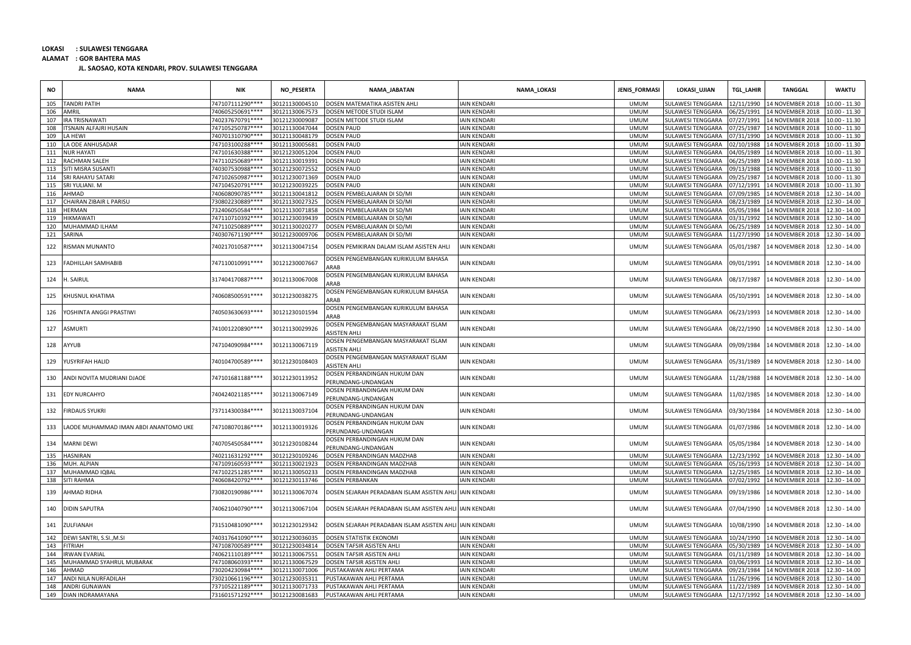**ALAMAT : GOR BAHTERA MAS**

| <b>NO</b> | <b>NAMA</b>                           | NIK               | NO_PESERTA     | NAMA_JABATAN                                               | NAMA_LOKASI         | JENIS_FORMASI | LOKASI_UJIAN             | TGL_LAHIR  | <b>TANGGAL</b>                            | <b>WAKTU</b>    |
|-----------|---------------------------------------|-------------------|----------------|------------------------------------------------------------|---------------------|---------------|--------------------------|------------|-------------------------------------------|-----------------|
| 105       | <b>TANDRI PATIH</b>                   | 747107111290 **** | 80121130004510 | DOSEN MATEMATIKA ASISTEN AHLI                              | <b>AIN KENDARI</b>  | <b>UMUM</b>   | ULAWESI TENGGARA         | 2/11/1990  | 14 NOVEMBER 2018                          | 10.00 - 11.30   |
| 106       | AMRIL                                 | 740605250691 **** | 30121130067573 | DOSEN METODE STUDI ISLAM                                   | AIN KENDARI         | <b>UMUM</b>   | <b>SULAWESI TENGGARA</b> | 06/25/1991 | 14 NOVEMBER 2018                          | $10.00 - 11.30$ |
| 107       | IRA TRISNAWATI                        | 740237670791 **** | 30121230009087 | DOSEN METODE STUDI ISLAM                                   | <b>IAIN KENDARI</b> | <b>UMUM</b>   | SULAWESI TENGGARA        | 07/27/1991 | 14 NOVEMBER 2018                          | 10.00 - 11.30   |
| 108       | TSNAIN ALFAJRI HUSAIN                 | 747105250787****  | 30121130047044 | DOSEN PAUD                                                 | AIN KENDARI         | <b>UMUM</b>   | SULAWESI TENGGARA        | 17/25/1987 | 14 NOVEMBER 2018                          | 10.00 - 11.30   |
| 109       | A HEWI                                | 740701310790 **** | 30121130048179 | <b>DOSEN PAUD</b>                                          | <b>AIN KENDARI</b>  | <b>UMUM</b>   | SULAWESI TENGGARA        | 07/31/1990 | 14 NOVEMBER 2018                          | $10.00 - 11.30$ |
| 110       | LA ODE ANHUSADAR                      | 747103100288****  | 30121130005681 | <b>DOSEN PAUD</b>                                          | <b>AIN KENDARI</b>  | <b>UMUM</b>   | SULAWESI TENGGARA        | 02/10/1988 | 14 NOVEMBER 2018                          | $10.00 - 11.30$ |
| 111       | <b>NUR HAYATI</b>                     | 747101630388****  | 30121230051204 | DOSEN PAUD                                                 | AIN KENDARI         | <b>UMUM</b>   | SULAWESI TENGGARA        | 04/05/1989 | 14 NOVEMBER 2018                          | $10.00 - 11.30$ |
| 112       | RACHMAN SALEH                         | 747110250689 **** | 30121130019391 | <b>DOSEN PAUD</b>                                          | AIN KENDARI         | <b>UMUM</b>   | SULAWESI TENGGARA        | 06/25/1989 | 14 NOVEMBER 2018                          | $10.00 - 11.30$ |
| 113       | SITI MISRA SUSANTI                    | 740307530988****  | 30121230072552 | <b>DOSEN PAUD</b>                                          | <b>AIN KENDARI</b>  | <b>UMUM</b>   | SULAWESI TENGGARA        | 09/13/1988 | 14 NOVEMBER 2018                          | $10.00 - 11.30$ |
| 114       | SRI RAHAYU SATARI                     | 747102650987****  | 30121230071369 | <b>DOSEN PAUD</b>                                          | <b>AIN KENDARI</b>  | <b>UMUM</b>   | SULAWESI TENGGARA        | 09/25/1987 | 14 NOVEMBER 2018                          | $10.00 - 11.30$ |
| 115       | SRI YULIANI. M                        | 747104520791 **** | 30121230039225 | <b>DOSEN PAUD</b>                                          | <b>AIN KENDARI</b>  | <b>UMUM</b>   | SULAWESI TENGGARA        | 17/12/1991 | 14 NOVEMBER 2018                          | 10.00 - 11.30   |
| 116       | AHMAD                                 | 740608090785 **** | 30121130041812 | DOSEN PEMBELAJARAN DI SD/MI                                | <b>AIN KENDARI</b>  | <b>UMUM</b>   | SULAWESI TENGGARA        | 17/09/1985 | 14 NOVEMBER 2018                          | 12.30 - 14.00   |
| 117       | <b>CHAIRAN ZIBAIR L PARISU</b>        | 730802230889****  | 30121130027325 | DOSEN PEMBELAJARAN DI SD/MI                                | AIN KENDARI         | <b>UMUM</b>   | <b>SULAWESI TENGGARA</b> | 08/23/1989 | 14 NOVEMBER 2018                          | 12.30 - 14.00   |
| 118       | <b>IERMAN</b>                         | 732406050584 **** | 30121130071858 | DOSEN PEMBELAJARAN DI SD/MI                                | <b>AIN KENDARI</b>  | <b>UMUM</b>   | SULAWESI TENGGARA        | 15/05/1984 | 14 NOVEMBER 2018                          | $12.30 - 14.00$ |
| 119       | <b>IIKMAWATI</b>                      | 747110710392****  | 30121230039439 | DOSEN PEMBELAJARAN DI SD/MI                                | AIN KENDARI         | <b>UMUM</b>   | SULAWESI TENGGARA        | 13/31/1992 | 14 NOVEMBER 2018                          | 12.30 - 14.00   |
| 120       | MUHAMMAD ILHAM                        | 747110250889****  | 30121130020277 | DOSEN PEMBELAJARAN DI SD/MI                                | AIN KENDARI         | <b>UMUM</b>   | <b>SULAWESI TENGGARA</b> | 06/25/1989 | 14 NOVEMBER 2018                          | 12.30 - 14.00   |
| 121       | SARINA                                | 740307671190 **** | 30121230009706 | DOSEN PEMBELAJARAN DI SD/MI                                | <b>AIN KENDARI</b>  | <b>UMUM</b>   | SULAWESI TENGGARA        | 11/27/1990 | 14 NOVEMBER 2018                          | 12.30 - 14.00   |
| 122       | <b>ISMAN MUNANTO</b>                  | 740217010587****  | 30121130047154 | DOSEN PEMIKIRAN DALAM ISLAM ASISTEN AHLI                   | <b>AIN KENDARI</b>  | <b>UMUM</b>   | SULAWESI TENGGARA        | 05/01/1987 | 14 NOVEMBER 2018                          | 12.30 - 14.00   |
| 123       | FADHILLAH SAMHABIB                    | 747110010991 **** | 30121230007667 | DOSEN PENGEMBANGAN KURIKULUM BAHASA<br><b>ARAF</b>         | <b>IAIN KENDARI</b> | <b>UMUM</b>   | SULAWESI TENGGARA        | 09/01/1991 | 14 NOVEMBER 2018                          | 12.30 - 14.00   |
| 124       | I. SAIRUL                             | 317404170887****  | 30121130067008 | DOSEN PENGEMBANGAN KURIKULUM BAHASA<br>ARAB                | <b>AIN KENDARI</b>  | <b>UMUM</b>   | SULAWESI TENGGARA        | 08/17/1987 | 14 NOVEMBER 2018                          | 12.30 - 14.00   |
| 125       | KHUSNUL KHATIMA                       | 740608500591 **** | 30121230038275 | DOSEN PENGEMBANGAN KURIKULUM BAHASA<br>ARAB                | <b>AIN KENDARI</b>  | <b>UMUM</b>   | SULAWESI TENGGARA        | 05/10/1991 | 14 NOVEMBER 2018                          | 12.30 - 14.00   |
| 126       | <b>/OSHINTA ANGGI PRASTIWI</b>        | 740503630693 **** | 30121230101594 | DOSEN PENGEMBANGAN KURIKULUM BAHASA<br>ARAB                | <b>AIN KENDARI</b>  | <b>UMUM</b>   | <b>SULAWESI TENGGARA</b> | 06/23/1993 | 14 NOVEMBER 2018                          | 12.30 - 14.00   |
| 127       | ASMURTI                               | 741001220890 **** | 30121130029926 | DOSEN PENGEMBANGAN MASYARAKAT ISLAM<br><b>ASISTEN AHLI</b> | <b>AIN KENDARI</b>  | <b>UMUM</b>   | SULAWESI TENGGARA        | 08/22/1990 | 14 NOVEMBER 2018                          | 12.30 - 14.00   |
| 128       | <b>AYYUB</b>                          | 747104090984 **** | 30121130067119 | DOSEN PENGEMBANGAN MASYARAKAT ISLAM<br><b>ASISTEN AHLI</b> | <b>AIN KENDARI</b>  | <b>UMUM</b>   | SULAWESI TENGGARA        | 09/09/1984 | 14 NOVEMBER 2018                          | 12.30 - 14.00   |
| 129       | YUSYRIFAH HALID                       | 740104700589 **** | 30121230108403 | DOSEN PENGEMBANGAN MASYARAKAT ISLAM<br>ASISTEN AHLI        | <b>AIN KENDARI</b>  | <b>UMUM</b>   | SULAWESI TENGGARA        | 05/31/1989 | 14 NOVEMBER 2018                          | 12.30 - 14.00   |
| 130       | ANDI NOVITA MUDRIANI DJAOE            | 747101681188****  | 30121230113952 | DOSEN PERBANDINGAN HUKUM DAN<br>PERUNDANG-UNDANGAN         | AIN KENDARI         | <b>UMUM</b>   | SULAWESI TENGGARA        | 11/28/1988 | 14 NOVEMBER 2018                          | 12.30 - 14.00   |
| 131       | <b>EDY NURCAHYO</b>                   | 740424021185****  | 30121130067149 | DOSEN PERBANDINGAN HUKUM DAN<br>PERUNDANG-UNDANGAN         | <b>AIN KENDARI</b>  | <b>UMUM</b>   | SULAWESI TENGGARA        | 11/02/1985 | 14 NOVEMBER 2018                          | 12.30 - 14.00   |
| 132       | <b>IRDAUS SYUKRI</b>                  | 737114300384 **** | 30121130037104 | DOSEN PERBANDINGAN HUKUM DAN<br>PERUNDANG-UNDANGAN         | <b>AIN KENDARI</b>  | <b>UMUM</b>   | SULAWESI TENGGARA        | 03/30/1984 | 14 NOVEMBER 2018                          | 12.30 - 14.00   |
| 133       | LAODE MUHAMMAD IMAN ABDI ANANTOMO UKE | 747108070186****  | 30121130019326 | DOSEN PERBANDINGAN HUKUM DAN<br>PERUNDANG-UNDANGAN         | <b>AIN KENDARI</b>  | <b>UMUM</b>   | SULAWESI TENGGARA        | 01/07/1986 | 14 NOVEMBER 2018                          | 12.30 - 14.00   |
| 134       | <b>MARNI DEWI</b>                     | 740705450584 **** | 30121230108244 | DOSEN PERBANDINGAN HUKUM DAN<br>ERUNDANG-UNDANGAN          | IAIN KENDARI        | <b>UMUM</b>   | SULAWESI TENGGARA        | 05/05/1984 | 14 NOVEMBER 2018                          | 12.30 - 14.00   |
| 135       | <b>HASNIRAN</b>                       | 740211631292****  | 30121230109246 | DOSEN PERBANDINGAN MADZHAB                                 | AIN KENDARI         | <b>UMUM</b>   | SULAWESI TENGGARA        | 12/23/1992 | 14 NOVEMBER 2018                          | 12.30 - 14.00   |
| 136       | MUH. ALPIAN                           | 747109160593****  | 30121130021923 | DOSEN PERBANDINGAN MADZHAB                                 | <b>AIN KENDARI</b>  | <b>UMUM</b>   | SULAWESI TENGGARA        | 15/16/1993 | 14 NOVEMBER 2018                          | 12.30 - 14.00   |
| 137       | MUHAMMAD IQBAL                        | 747102251285****  | 30121130050233 | DOSEN PERBANDINGAN MADZHAB                                 | AIN KENDARI         | <b>UMUM</b>   | SULAWESI TENGGARA        | 12/25/1985 | 14 NOVEMBER 2018                          | 12.30 - 14.00   |
| 138       | <b>ITI RAHMA</b>                      | 740608420792 **** | 30121230113746 | DOSEN PERBANKAN                                            | <b>AIN KENDARI</b>  | <b>UMUM</b>   | SULAWESI TENGGARA        | 07/02/1992 | 14 NOVEMBER 2018                          | 12.30 - 14.00   |
| 139       | <b>HMAD RIDHA</b>                     | 730820190986 **** | 30121130067074 | DOSEN SEJARAH PERADABAN ISLAM ASISTEN AHL                  | <b>IAIN KENDARI</b> | <b>UMUM</b>   | <b>JULAWESI TENGGARA</b> | 09/19/1986 | 14 NOVEMBER 2018                          | 12.30 - 14.00   |
| 140       | <b>DIDIN SAPUTRA</b>                  | 740621040790 **** | 30121130067104 | DOSEN SEJARAH PERADABAN ISLAM ASISTEN AHL                  | I IAIN KENDARI      | <b>UMUM</b>   | SULAWESI TENGGARA        | 07/04/1990 | 14 NOVEMBER 2018                          | 12.30 - 14.00   |
| 141       | ZULFIANAH                             | 731510481090 **** | 30121230129342 | DOSEN SEJARAH PERADABAN ISLAM ASISTEN AHLI IAIN KENDARI    |                     | <b>UMUM</b>   | SULAWESI TENGGARA        | 10/08/1990 | 14 NOVEMBER 2018                          | 12.30 - 14.00   |
| 142       | DEWI SANTRI, S.SI., M.SI              | 740317641090 **** | 30121230036035 | DOSEN STATISTIK EKONOMI                                    | AIN KENDARI         | <b>UMUM</b>   | SULAWESI TENGGARA        | 10/24/1990 | <b>14 NOVEMBER 2018</b>                   | 12.30 - 14.00   |
| 143       | <b>ITRIAH</b>                         | 747108700589 **** | 30121230034814 | DOSEN TAFSIR ASISTEN AHLI                                  | AIN KENDARI         | <b>UMUM</b>   | SULAWESI TENGGARA        | 15/30/1989 | 14 NOVEMBER 2018                          | 12.30 - 14.00   |
| 144       | RWAN EVARIAL                          | 740621110189****  | 30121130067551 | DOSEN TAFSIR ASISTEN AHLI                                  | <b>AIN KENDARI</b>  | <b>UMUM</b>   | SULAWESI TENGGARA        | 01/11/1989 | 14 NOVEMBER 2018                          | 12.30 - 14.00   |
| 145       | MUHAMMAD SYAHRUL MUBARAK              | 747108060393 **** | 30121130067529 | DOSEN TAFSIR ASISTEN AHLI                                  | <b>AIN KENDARI</b>  | <b>UMUM</b>   | SULAWESI TENGGARA        | 03/06/1993 | 14 NOVEMBER 2018                          | 12.30 - 14.00   |
| 146       | <b>HMAD</b>                           | 730204230984 **** | 30121130071006 | PUSTAKAWAN AHLI PERTAMA                                    | <b>AIN KENDARI</b>  | <b>UMUM</b>   | SULAWESI TENGGARA        | 09/23/1984 | 14 NOVEMBER 2018                          | 12.30 - 14.00   |
| 147       | NDI NILA NURFADILAH                   | 730210661196****  | 80121230035311 | PUSTAKAWAN AHLI PERTAMA                                    | AIN KENDARI         | <b>UMUM</b>   | ULAWESI TENGGARA         | 1/26/1996  | 14 NOVEMBER 2018                          | 12.30 - 14.00   |
| 148       | ANDRI GUNAWAN                         | 737105221189****  | 30121130071733 | PUSTAKAWAN AHLI PERTAMA                                    | AIN KENDARI         | <b>UMUM</b>   | ULAWESI TENGGARA         | 11/22/1989 | 14 NOVEMBER 2018                          | 12.30 - 14.00   |
| 149       | DIAN INDRAMAYANA                      | 731601571292****  | 30121230081683 | PUSTAKAWAN AHLI PERTAMA                                    | <b>IAIN KENDARI</b> | <b>UMUM</b>   | SULAWESI TENGGARA        |            | 12/17/1992 14 NOVEMBER 2018 12.30 - 14.00 |                 |